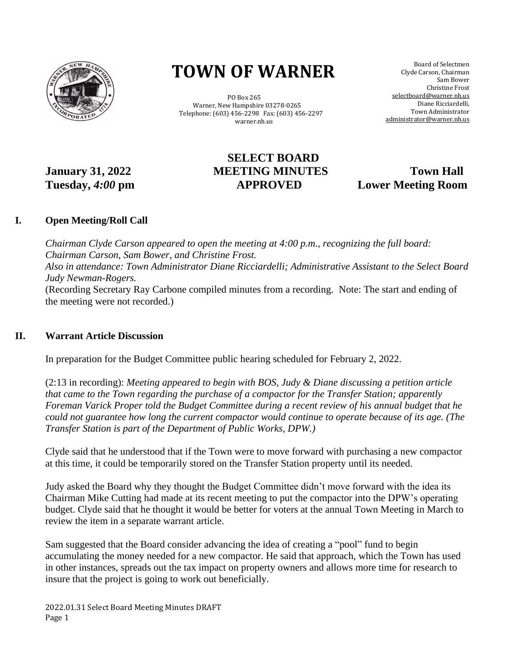

# **TOWN OF WARNER**

 PO Box 265 Warner, New Hampshire 03278-0265 Telephone: (603) 456-2298 Fax: (603) 456-2297 warner.nh.us

 Board of Selectmen Clyde Carson, Chairman Sam Bower Christine Frost selectboard@warner.nh.us Diane Ricciardelli, Town Administrator [administrator@warner.nh.us](mailto:administrator@warner.nh.us)

# **SELECT BOARD January 31, 2022 MEETING MINUTES Town Hall Tuesday,** *4:00* **pm APPROVED Lower Meeting Room**

## **I. Open Meeting/Roll Call**

*Chairman Clyde Carson appeared to open the meeting at 4:00 p.m., recognizing the full board: Chairman Carson, Sam Bower, and Christine Frost. Also in attendance: Town Administrator Diane Ricciardelli; Administrative Assistant to the Select Board Judy Newman-Rogers.* (Recording Secretary Ray Carbone compiled minutes from a recording. Note: The start and ending of the meeting were not recorded.)

### **II. Warrant Article Discussion**

In preparation for the Budget Committee public hearing scheduled for February 2, 2022.

(2:13 in recording): *Meeting appeared to begin with BOS, Judy & Diane discussing a petition article that came to the Town regarding the purchase of a compactor for the Transfer Station; apparently Foreman Varick Proper told the Budget Committee during a recent review of his annual budget that he could not guarantee how long the current compactor would continue to operate because of its age. (The Transfer Station is part of the Department of Public Works, DPW.)*

Clyde said that he understood that if the Town were to move forward with purchasing a new compactor at this time, it could be temporarily stored on the Transfer Station property until its needed.

Judy asked the Board why they thought the Budget Committee didn't move forward with the idea its Chairman Mike Cutting had made at its recent meeting to put the compactor into the DPW's operating budget. Clyde said that he thought it would be better for voters at the annual Town Meeting in March to review the item in a separate warrant article.

Sam suggested that the Board consider advancing the idea of creating a "pool" fund to begin accumulating the money needed for a new compactor. He said that approach, which the Town has used in other instances, spreads out the tax impact on property owners and allows more time for research to insure that the project is going to work out beneficially.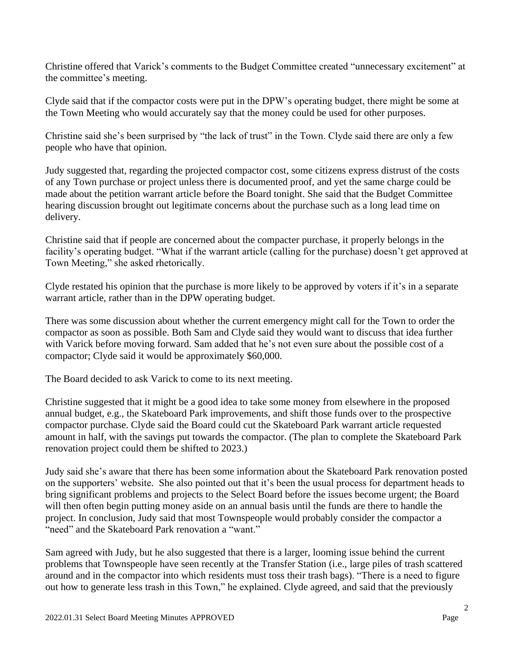Christine offered that Varick's comments to the Budget Committee created "unnecessary excitement" at the committee's meeting.

Clyde said that if the compactor costs were put in the DPW's operating budget, there might be some at the Town Meeting who would accurately say that the money could be used for other purposes.

Christine said she's been surprised by "the lack of trust" in the Town. Clyde said there are only a few people who have that opinion.

Judy suggested that, regarding the projected compactor cost, some citizens express distrust of the costs of any Town purchase or project unless there is documented proof, and yet the same charge could be made about the petition warrant article before the Board tonight. She said that the Budget Committee hearing discussion brought out legitimate concerns about the purchase such as a long lead time on delivery.

Christine said that if people are concerned about the compacter purchase, it properly belongs in the facility's operating budget. "What if the warrant article (calling for the purchase) doesn't get approved at Town Meeting," she asked rhetorically.

Clyde restated his opinion that the purchase is more likely to be approved by voters if it's in a separate warrant article, rather than in the DPW operating budget.

There was some discussion about whether the current emergency might call for the Town to order the compactor as soon as possible. Both Sam and Clyde said they would want to discuss that idea further with Varick before moving forward. Sam added that he's not even sure about the possible cost of a compactor; Clyde said it would be approximately \$60,000.

The Board decided to ask Varick to come to its next meeting.

Christine suggested that it might be a good idea to take some money from elsewhere in the proposed annual budget, e.g., the Skateboard Park improvements, and shift those funds over to the prospective compactor purchase. Clyde said the Board could cut the Skateboard Park warrant article requested amount in half, with the savings put towards the compactor. (The plan to complete the Skateboard Park renovation project could them be shifted to 2023.)

Judy said she's aware that there has been some information about the Skateboard Park renovation posted on the supporters' website. She also pointed out that it's been the usual process for department heads to bring significant problems and projects to the Select Board before the issues become urgent; the Board will then often begin putting money aside on an annual basis until the funds are there to handle the project. In conclusion, Judy said that most Townspeople would probably consider the compactor a "need" and the Skateboard Park renovation a "want."

Sam agreed with Judy, but he also suggested that there is a larger, looming issue behind the current problems that Townspeople have seen recently at the Transfer Station (i.e., large piles of trash scattered around and in the compactor into which residents must toss their trash bags). "There is a need to figure out how to generate less trash in this Town," he explained. Clyde agreed, and said that the previously